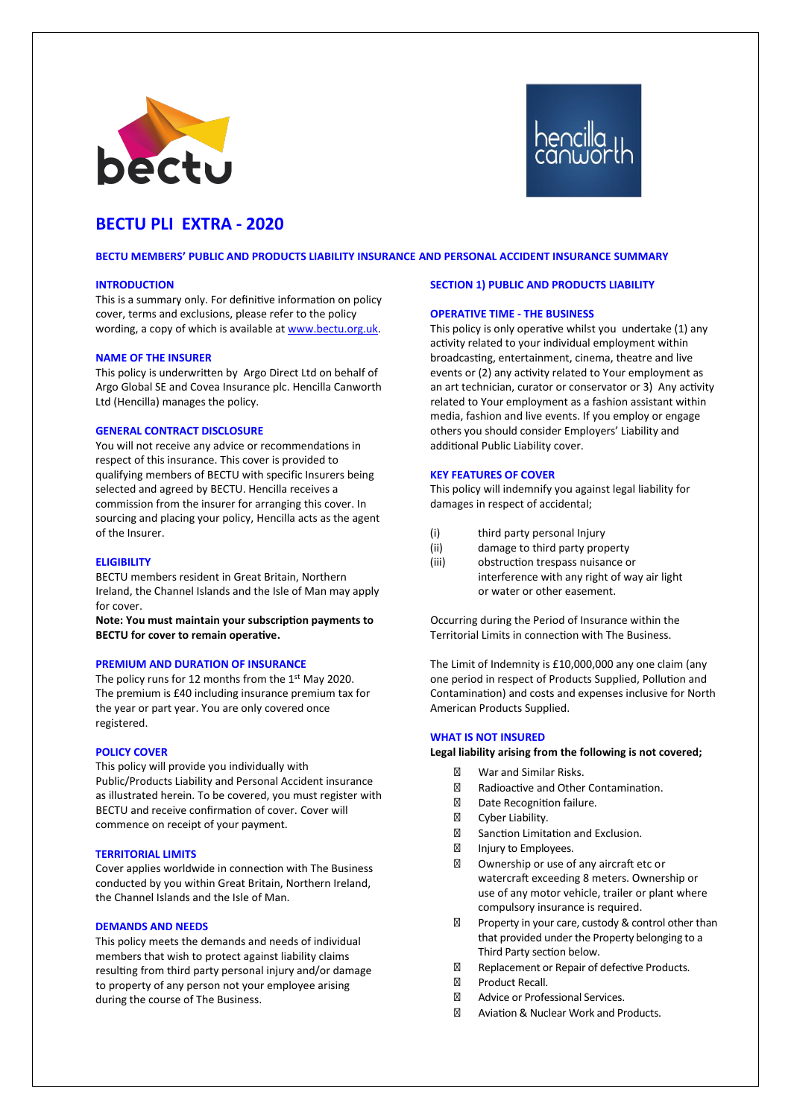



# **BECTU PLI EXTRA - 2020**

**BECTU MEMBERS' PUBLIC AND PRODUCTS LIABILITY INSURANCE AND PERSONAL ACCIDENT INSURANCE SUMMARY**

#### **INTRODUCTION**

This is a summary only. For definitive information on policy cover, terms and exclusions, please refer to the policy wording, a copy of which is available at www.bectu.org.uk.

## **NAME OF THE INSURER**

This policy is underwritten by Argo Direct Ltd on behalf of Argo Global SE and Covea Insurance plc. Hencilla Canworth Ltd (Hencilla) manages the policy.

# **GENERAL CONTRACT DISCLOSURE**

You will not receive any advice or recommendations in respect of this insurance. This cover is provided to qualifying members of BECTU with specific Insurers being selected and agreed by BECTU. Hencilla receives a commission from the insurer for arranging this cover. In sourcing and placing your policy, Hencilla acts as the agent of the Insurer.

## **ELIGIBILITY**

BECTU members resident in Great Britain, Northern Ireland, the Channel Islands and the Isle of Man may apply for cover.

**Note: You must maintain your subscription payments to BECTU for cover to remain operative.**

## **PREMIUM AND DURATION OF INSURANCE**

The policy runs for 12 months from the 1st May 2020. The premium is £40 including insurance premium tax for the year or part year. You are only covered once registered.

#### **POLICY COVER**

This policy will provide you individually with Public/Products Liability and Personal Accident insurance as illustrated herein. To be covered, you must register with BECTU and receive confirmation of cover. Cover will commence on receipt of your payment.

## **TERRITORIAL LIMITS**

Cover applies worldwide in connection with The Business conducted by you within Great Britain, Northern Ireland, the Channel Islands and the Isle of Man.

#### **DEMANDS AND NEEDS**

This policy meets the demands and needs of individual members that wish to protect against liability claims resulting from third party personal injury and/or damage to property of any person not your employee arising during the course of The Business.

# **SECTION 1) PUBLIC AND PRODUCTS LIABILITY**

# **OPERATIVE TIME - THE BUSINESS**

This policy is only operative whilst you undertake (1) any activity related to your individual employment within broadcasting, entertainment, cinema, theatre and live events or (2) any activity related to Your employment as an art technician, curator or conservator or 3) Any activity related to Your employment as a fashion assistant within media, fashion and live events. If you employ or engage others you should consider Employers' Liability and additional Public Liability cover.

## **KEY FEATURES OF COVER**

This policy will indemnify you against legal liability for damages in respect of accidental;

- (i) third party personal Injury
- (ii) damage to third party property
- (iii) obstruction trespass nuisance or interference with any right of way air light or water or other easement.

Occurring during the Period of Insurance within the Territorial Limits in connection with The Business.

The Limit of Indemnity is £10,000,000 any one claim (any one period in respect of Products Supplied, Pollution and Contamination) and costs and expenses inclusive for North American Products Supplied.

## **WHAT IS NOT INSURED**

## **Legal liability arising from the following is not covered;**

War and Similar Risks. Radioactive and Other Contamination. Date Recognition failure. Cyber Liability. Sanction Limitation and Exclusion. Injury to Employees. Ownership or use of any aircraft etc or watercraft exceeding 8 meters. Ownership or use of any motor vehicle, trailer or plant where compulsory insurance is required. Property in your care, custody & control other than that provided under the Property belonging to a Third Party section below. Replacement or Repair of defective Products. Product Recall. Advice or Professional Services. Aviation & Nuclear Work and Products.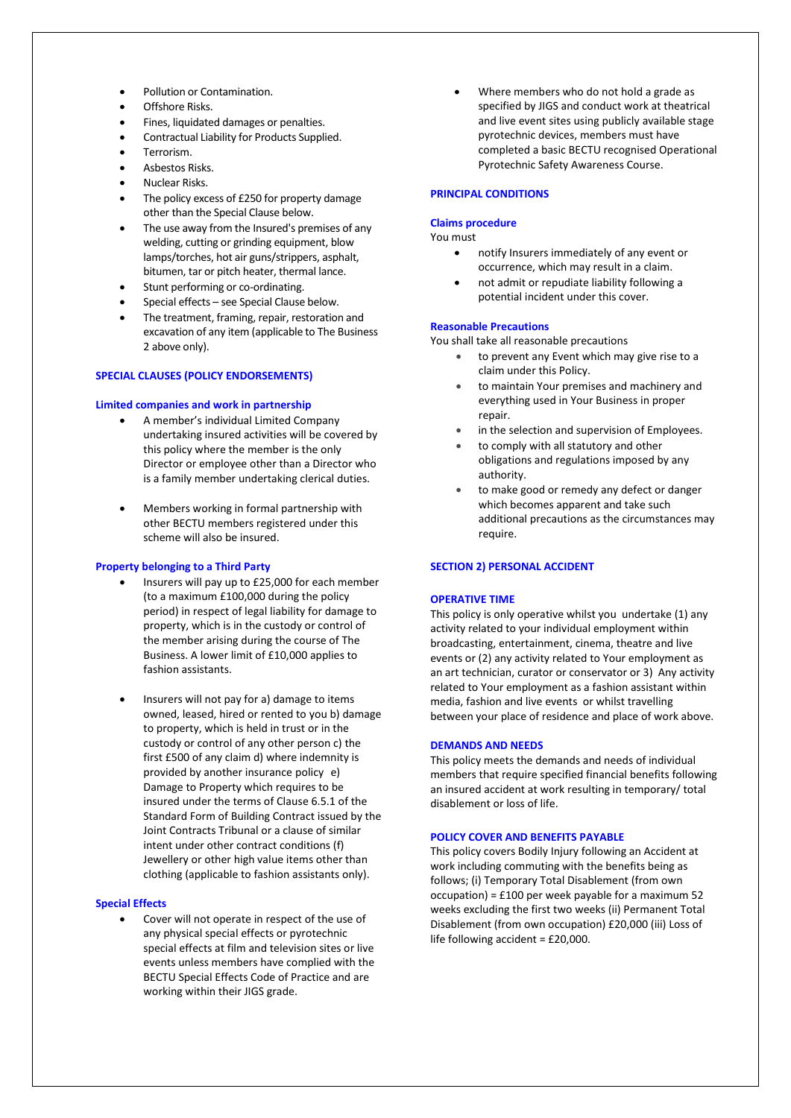- Pollution or Contamination.
- Offshore Risks.
- Fines, liquidated damages or penalties.
- Contractual Liability for Products Supplied.
- Terrorism.
- Asbestos Risks.
- Nuclear Risks.
- The policy excess of £250 for property damage other than the Special Clause below.
- The use away from the Insured's premises of any welding, cutting or grinding equipment, blow lamps/torches, hot air guns/strippers, asphalt, bitumen, tar or pitch heater, thermal lance.
- Stunt performing or co-ordinating.
- Special effects see Special Clause below.
- The treatment, framing, repair, restoration and excavation of any item (applicable to The Business 2 above only).

## **SPECIAL CLAUSES (POLICY ENDORSEMENTS)**

## **Limited companies and work in partnership**

- A member's individual Limited Company undertaking insured activities will be covered by this policy where the member is the only Director or employee other than a Director who is a family member undertaking clerical duties.
- Members working in formal partnership with other BECTU members registered under this scheme will also be insured.

## **Property belonging to a Third Party**

- Insurers will pay up to £25,000 for each member (to a maximum £100,000 during the policy period) in respect of legal liability for damage to property, which is in the custody or control of the member arising during the course of The Business. A lower limit of £10,000 applies to fashion assistants.
- Insurers will not pay for a) damage to items owned, leased, hired or rented to you b) damage to property, which is held in trust or in the custody or control of any other person c) the first £500 of any claim d) where indemnity is provided by another insurance policy e) Damage to Property which requires to be insured under the terms of Clause 6.5.1 of the Standard Form of Building Contract issued by the Joint Contracts Tribunal or a clause of similar intent under other contract conditions (f) Jewellery or other high value items other than clothing (applicable to fashion assistants only).

## **Special Effects**

Cover will not operate in respect of the use of any physical special effects or pyrotechnic special effects at film and television sites or live events unless members have complied with the BECTU Special Effects Code of Practice and are working within their JIGS grade.

• Where members who do not hold a grade as specified by JIGS and conduct work at theatrical and live event sites using publicly available stage pyrotechnic devices, members must have completed a basic BECTU recognised Operational Pyrotechnic Safety Awareness Course.

## **PRINCIPAL CONDITIONS**

# **Claims procedure**

You must

- notify Insurers immediately of any event or occurrence, which may result in a claim.
- not admit or repudiate liability following a potential incident under this cover.

# **Reasonable Precautions**

You shall take all reasonable precautions

- to prevent any Event which may give rise to a claim under this Policy.
- to maintain Your premises and machinery and everything used in Your Business in proper repair.
- in the selection and supervision of Employees.
- to comply with all statutory and other obligations and regulations imposed by any authority.
- to make good or remedy any defect or danger which becomes apparent and take such additional precautions as the circumstances may require.

## **SECTION 2) PERSONAL ACCIDENT**

#### **OPERATIVE TIME**

This policy is only operative whilst you undertake (1) any activity related to your individual employment within broadcasting, entertainment, cinema, theatre and live events or (2) any activity related to Your employment as an art technician, curator or conservator or 3) Any activity related to Your employment as a fashion assistant within media, fashion and live events or whilst travelling between your place of residence and place of work above.

#### **DEMANDS AND NEEDS**

This policy meets the demands and needs of individual members that require specified financial benefits following an insured accident at work resulting in temporary/ total disablement or loss of life.

#### **POLICY COVER AND BENEFITS PAYABLE**

This policy covers Bodily Injury following an Accident at work including commuting with the benefits being as follows; (i) Temporary Total Disablement (from own occupation) = £100 per week payable for a maximum 52 weeks excluding the first two weeks (ii) Permanent Total Disablement (from own occupation) £20,000 (iii) Loss of life following accident = £20,000.